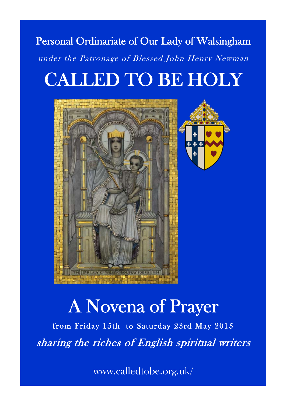## Personal Ordinariate of Our Lady of Walsingham under the Patronage of Blessed John Henry Newman CALLED TO BE HOLY



# A Novena of Prayer

from Friday 15th to Saturday 23rd May 2015 sharing the riches of English spiritual writers

1 www.calledtobe.org.uk/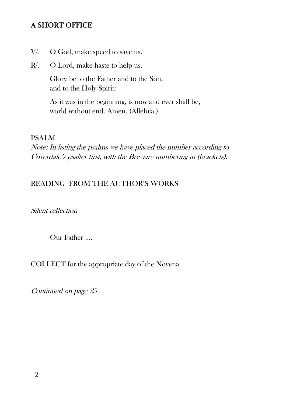#### A SHORT OFFICE

- V/. O God, make speed to save us.
- R/. O Lord, make haste to help us.

 Glory be to the Father and to the Son, and to the Holy Spirit:

 As it was in the beginning, is now and ever shall be, world without end. Amen. (Alleluia.)

#### PSALM

Note: In listing the psalms we have placed the number according to Coverdale's psalter first, with the Breviary numbering in (brackets).

#### READING FROM THE AUTHOR'S WORKS

#### Silent reflection

Our Father ….

#### COLLECT for the appropriate day of the Novena

Continued on page 23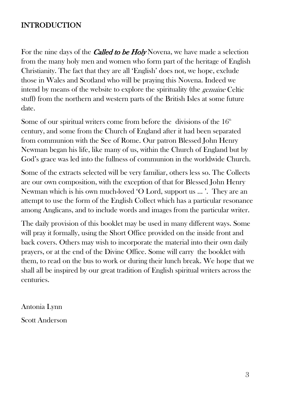#### **ST.** ANDREW'S CHURCH HALL **EXECUTE** INTRODUCTION

For the nine days of the *Called to be Holy* Novena, we have made a selection from the many holy men and women who form part of the heritage of English disability and and start and and garden area. The comparison of the start garden area. intend by means of the website to explore the spirituality (the *genuine* Celtic  $\frac{1}{\sqrt{1}}$ Christianity. The fact that they are all 'English' does not, we hope, exclude stuff) from the northern and western parts of the British Isles at some future date.

**Some of our spiritual writers come from before the divisions of the 16<sup>th</sup><br>contunity and some from the Church of England after it hed been separated** from communion with the See of Rome. Our patron Blessed John Henry God's grace was led into the fullness of communion in the worldwide Church. century, and some from the Church of England after it had been separated Newman began his life, like many of us, within the Church of England but by

Some of the extracts selected will be very familiar, others less so. The  $C$ Newman which is his own much-loved 'O Lord, support us ... '. They are an attempt to use the form of the English Collect which has a particular resonance Some of the extracts selected will be very familiar, others less so. The Collects are our own composition, with the exception of that for Blessed John Henry among Anglicans, and to include words and images from the particular writer.

The daily provision of this booklet may be used in many different ways. Some will pray it formally, using the Short Office provided on the inside front and back covers. Others may wish to incorporate the material into their own daily prayers, or at the end of the Divine Office. Some will carry the booklet with them, to read on the bus to work or during their lunch break. We hope that we shall all be inspired by our great tradition of English spiritual writers across the centuries.

Antonia Lynn

Scott Anderson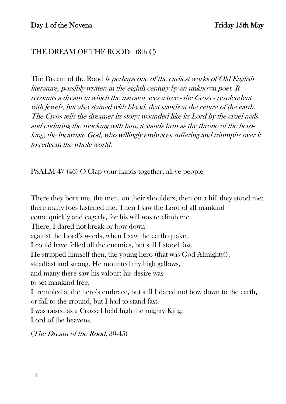#### THE DREAM OF THE ROOD (8th C)

The Dream of the Rood *is perhaps one of the earliest works of Old English* literature, possibly written in the eighth century by an unknown poet. It recounts a dream in which the narrator sees a tree - the Cross - resplendent with jewels, but also stained with blood, that stands at the centre of the earth. The Cross tells the dreamer its story: wounded like its Lord by the cruel nails and enduring the mocking with him, it stands firm as the throne of the heroking, the incarnate God, who willingly embraces suffering and triumphs over it to redeem the whole world.

PSALM 47 (46) O Clap your hands together, all ye people

There they bore me, the men, on their shoulders, then on a hill they stood me; there many foes fastened me. Then I saw the Lord of all mankind come quickly and eagerly, for his will was to climb me. There, I dared not break or bow down against the Lord's words, when I saw the earth quake. I could have felled all the enemies, but still I stood fast. He stripped himself then, the young hero (that was God Almighty!), steadfast and strong. He mounted my high gallows, and many there saw his valour: his desire was to set mankind free. I trembled at the hero's embrace, but still I dared not bow down to the earth, or fall to the ground, but I had to stand fast. I was raised as a Cross: I held high the mighty King, Lord of the heavens.

(The Dream of the Rood, 30-45)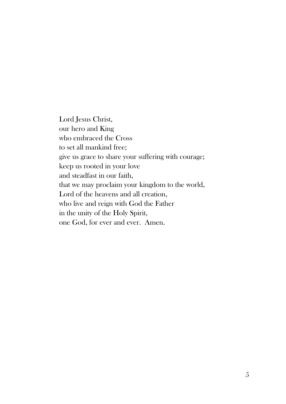Lord Jesus Christ, our hero and King who embraced the Cross to set all mankind free; give us grace to share your suffering with courage; keep us rooted in your love and steadfast in our faith, that we may proclaim your kingdom to the world, Lord of the heavens and all creation, who live and reign with God the Father in the unity of the Holy Spirit, one God, for ever and ever. Amen.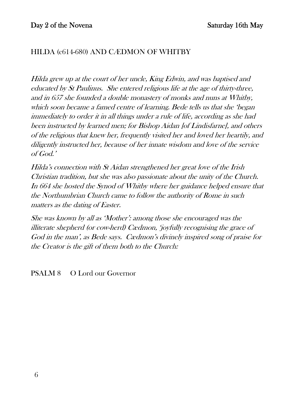#### HILDA (c614-680) AND CÆDMON OF WHITBY

Hilda grew up at the court of her uncle, King Edwin, and was baptised and educated by St Paulinus. She entered religious life at the age of thirty-three, and in 657 she founded a double monastery of monks and nuns at Whitby, which soon became a famed centre of learning. Bede tells us that she 'began immediately to order it in all things under a rule of life, according as she had been instructed by learned men; for Bishop Aidan [of Lindisfarne], and others of the religious that knew her, frequently visited her and loved her heartily, and diligently instructed her, because of her innate wisdom and love of the service of God.'

Hilda's connection with St Aidan strengthened her great love of the Irish Christian tradition, but she was also passionate about the unity of the Church. In 664 she hosted the Synod of Whitby where her guidance helped ensure that the Northumbrian Church came to follow the authority of Rome in such matters as the dating of Easter.

She was known by all as 'Mother': among those she encouraged was the illiterate shepherd (or cow-herd) Cædmon, 'joyfully recognising the grace of God in the man', as Bede says. Cædmon's divinely inspired song of praise for the Creator is the gift of them both to the Church:

PSALM 8 O Lord our Governor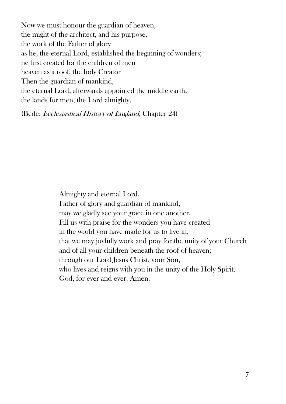Now we must honour the guardian of heaven, the might of the architect, and his purpose, the work of the Father of glory as he, the eternal Lord, established the beginning of wonders; he first created for the children of men heaven as a roof, the holy Creator Then the guardian of mankind, the eternal Lord, afterwards appointed the middle earth, the lands for men, the Lord almighty.

(Bede: Ecclesiastical History of England, Chapter 24)

Almighty and eternal Lord, Father of glory and guardian of mankind, may we gladly see your grace in one another. Fill us with praise for the wonders you have created in the world you have made for us to live in, that we may joyfully work and pray for the unity of your Church and of all your children beneath the roof of heaven; through our Lord Jesus Christ, your Son, who lives and reigns with you in the unity of the Holy Spirit, God, for ever and ever. Amen.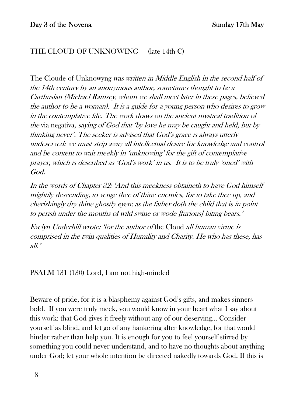#### THE CLOUD OF UNKNOWING (late 14th C)

The Cloude of Unknowyng was written in Middle English in the second half of the 14th century by an anonymous author, sometimes thought to be a Carthusian (Michael Ramsey, whom we shall meet later in these pages, believed the author to be a woman). It is a guide for a young person who desires to grow in the contemplative life. The work draws on the ancient mystical tradition of the via negativa, saying of God that 'by love he may be caught and held, but by thinking never'. The seeker is advised that God's grace is always utterly undeserved: we must strip away all intellectual desire for knowledge and control and be content to wait meekly in 'unknowing' for the gift of contemplative prayer, which is described as 'God's work' in us. It is to be truly 'oned' with God.

In the words of Chapter 32: 'And this meekness obtaineth to have God himself mightily descending, to venge thee of thine enemies, for to take thee up, and cherishingly dry thine ghostly eyen; as the father doth the child that is in point to perish under the mouths of wild swine or wode [furious] biting bears.'

Evelyn Underhill wrote: 'for the author of the Cloud all human virtue is comprised in the twin qualities of Humility and Charity. He who has these, has all.'

PSALM 131 (130) Lord, I am not high-minded

Beware of pride, for it is a blasphemy against God's gifts, and makes sinners bold. If you were truly meek, you would know in your heart what I say about this work: that God gives it freely without any of our deserving… Consider yourself as blind, and let go of any hankering after knowledge, for that would hinder rather than help you. It is enough for you to feel yourself stirred by something you could never understand, and to have no thoughts about anything under God; let your whole intention be directed nakedly towards God. If this is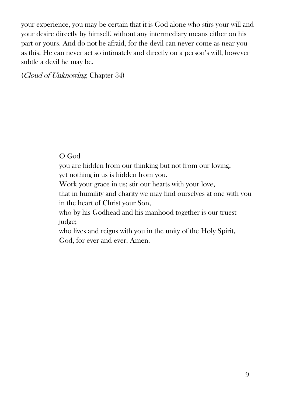your experience, you may be certain that it is God alone who stirs your will and your desire directly by himself, without any intermediary means either on his part or yours. And do not be afraid, for the devil can never come as near you as this. He can never act so intimately and directly on a person's will, however subtle a devil he may be.

(Cloud of Unknowing, Chapter 34)

#### O God

you are hidden from our thinking but not from our loving, yet nothing in us is hidden from you.

Work your grace in us; stir our hearts with your love,

that in humility and charity we may find ourselves at one with you in the heart of Christ your Son,

who by his Godhead and his manhood together is our truest judge;

who lives and reigns with you in the unity of the Holy Spirit, God, for ever and ever. Amen.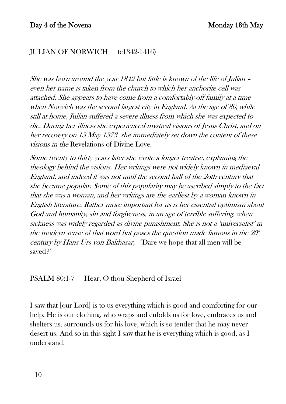#### JULIAN OF NORWICH (c1342-1416)

She was born around the year 1342 but little is known of the life of Julian – even her name is taken from the church to which her anchorite cell was attached. She appears to have come from a comfortably-off family at a time when Norwich was the second largest city in England. At the age of 30, while still at home, Julian suffered a severe illness from which she was expected to die. During her illness she experienced mystical visions of Jesus Christ, and on her recovery on 13 May 1373 she immediately set down the content of these visions in the Revelations of Divine Love.

Some twenty to thirty years later she wrote a longer treatise, explaining the theology behind the visions. Her writings were not widely known in mediaeval England, and indeed it was not until the second half of the 2oth century that she became popular. Some of this popularity may be ascribed simply to the fact that she was a woman, and her writings are the earliest by a woman known in English literature. Rather more important for us is her essential optimism about God and humanity, sin and forgiveness, in an age of terrible suffering, when sickness was widely regarded as divine punishment. She is not a 'universalist' in the modern sense of that word but poses the question made famous in the  $20<sup>th</sup>$ century by Hans Urs von Balthasar, 'Dare we hope that all men will be saved?'

PSALM 80:1-7 Hear, O thou Shepherd of Israel

I saw that [our Lord] is to us everything which is good and comforting for our help. He is our clothing, who wraps and enfolds us for love, embraces us and shelters us, surrounds us for his love, which is so tender that he may never desert us. And so in this sight I saw that he is everything which is good, as I understand.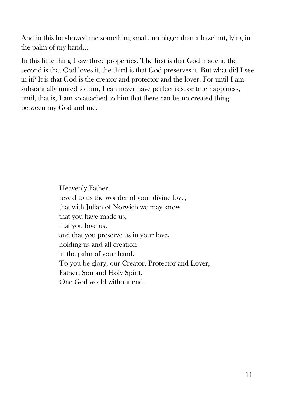And in this he showed me something small, no bigger than a hazelnut, lying in the palm of my hand….

In this little thing I saw three properties. The first is that God made it, the second is that God loves it, the third is that God preserves it. But what did I see in it? It is that God is the creator and protector and the lover. For until I am substantially united to him, I can never have perfect rest or true happiness, until, that is, I am so attached to him that there can be no created thing between my God and me.

> Heavenly Father, reveal to us the wonder of your divine love, that with Julian of Norwich we may know that you have made us, that you love us, and that you preserve us in your love, holding us and all creation in the palm of your hand. To you be glory, our Creator, Protector and Lover, Father, Son and Holy Spirit, One God world without end.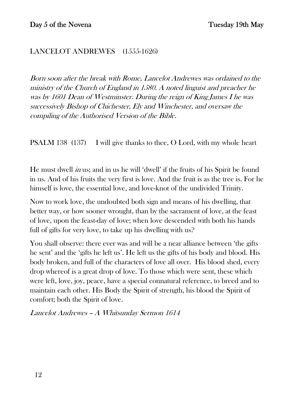#### LANCELOT ANDREWES (1555-1626)

Born soon after the break with Rome, Lancelot Andrewes was ordained to the ministry of the Church of England in 1580. A noted linguist and preacher he was by 1601 Dean of Westminster. During the reign of King James I he was successively Bishop of Chichester, Ely and Winchester, and oversaw the compiling of the Authorised Version of the Bible.

PSALM 138 (137) I will give thanks to thee, O Lord, with my whole heart

He must dwell  $\dot{m}$  us; and in us he will 'dwell' if the fruits of his Spirit be found in us. And of his fruits the very first is love. And the fruit is as the tree is. For he himself is love, the essential love, and love-knot of the undivided Trinity.

Now to work love, the undoubted both sign and means of his dwelling, that better way, or how sooner wrought, than by the sacrament of love, at the feast of love, upon the feast-day of love; when love descended with both his hands full of gifts for very love, to take up his dwelling with us?

You shall observe: there ever was and will be a near alliance between 'the gifts he sent' and the 'gifts he left us'. He left us the gifts of his body and blood. His body broken, and full of the characters of love all over. His blood shed, every drop whereof is a great drop of love. To those which were sent, these which were left, love, joy, peace, have a special connatural reference, to breed and to maintain each other. His Body the Spirit of strength, his blood the Spirit of comfort; both the Spirit of love.

Lancelot Andrewes – A Whitsunday Sermon 1614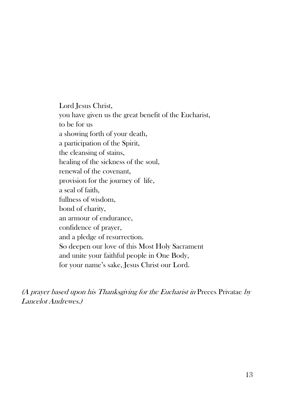Lord Jesus Christ, you have given us the great benefit of the Eucharist, to be for us a showing forth of your death, a participation of the Spirit, the cleansing of stains, healing of the sickness of the soul, renewal of the covenant, provision for the journey of life, a seal of faith, fullness of wisdom, bond of charity, an armour of endurance, confidence of prayer, and a pledge of resurrection. So deepen our love of this Most Holy Sacrament and unite your faithful people in One Body, for your name's sake, Jesus Christ our Lord.

(A prayer based upon his Thanksgiving for the Eucharist in Preces Privatae by Lancelot Andrewes.)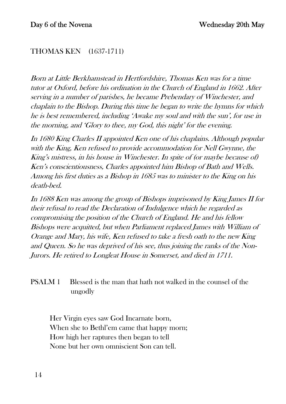#### THOMAS KEN (1637-1711)

Born at Little Berkhamstead in Hertfordshire, Thomas Ken was for a time tutor at Oxford, before his ordination in the Church of England in 1662. After serving in a number of parishes, he became Prebendary of Winchester, and chaplain to the Bishop. During this time he began to write the hymns for which he is best remembered, including 'Awake my soul and with the sun', for use in the morning, and 'Glory to thee, my God, this night' for the evening.

In 1680 King Charles II appointed Ken one of his chaplains. Although popular with the King, Ken refused to provide accommodation for Nell Gwynne, the King's mistress, in his house in Winchester. In spite of (or maybe because of) Ken's conscientiousness, Charles appointed him Bishop of Bath and Wells. Among his first duties as a Bishop in 1685 was to minister to the King on his death-bed.

In 1688 Ken was among the group of Bishops imprisoned by King James II for their refusal to read the Declaration of Indulgence which he regarded as compromising the position of the Church of England. He and his fellow Bishops were acquitted, but when Parliament replaced James with William of Orange and Mary, his wife, Ken refused to take a fresh oath to the new King and Queen. So he was deprived of his see, thus joining the ranks of the Non-Jurors. He retired to Longleat House in Somerset, and died in 1711.

#### PSALM 1 Blessed is the man that hath not walked in the counsel of the ungodly

Her Virgin eyes saw God Incarnate born, When she to Bethl'em came that happy morn; How high her raptures then began to tell None but her own omniscient Son can tell.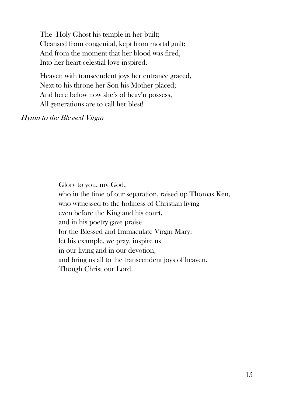The Holy Ghost his temple in her built; Cleansed from congenital, kept from mortal guilt; And from the moment that her blood was fired, Into her heart celestial love inspired.

Heaven with transcendent joys her entrance graced, Next to his throne her Son his Mother placed; And here below now she's of heav'n possess, All generations are to call her blest!

Hymn to the Blessed Virgin

Glory to you, my God, who in the time of our separation, raised up Thomas Ken, who witnessed to the holiness of Christian living even before the King and his court, and in his poetry gave praise for the Blessed and Immaculate Virgin Mary: let his example, we pray, inspire us in our living and in our devotion, and bring us all to the transcendent joys of heaven. Though Christ our Lord.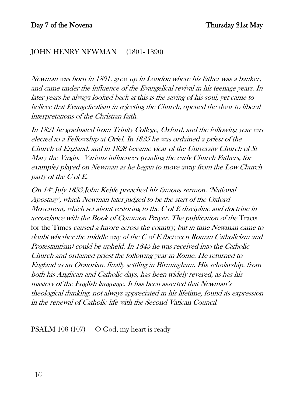#### JOHN HENRY NEWMAN (1801- 1890)

Newman was born in 1801, grew up in London where his father was a banker, and came under the influence of the Evangelical revival in his teenage years. In later years he always looked back at this is the saving of his soul, yet came to believe that Evangelicalism in rejecting the Church, opened the door to liberal interpretations of the Christian faith.

In 1821 he graduated from Trinity College, Oxford, and the following year was elected to a Fellowship at Oriel. In 1825 he was ordained a priest of the Church of England, and in 1828 became vicar of the University Church of St Mary the Virgin. Various influences (reading the early Church Fathers, for example) played on Newman as he began to move away from the Low Church party of the C of E.

On 14th July 1833 John Keble preached his famous sermon, 'National' Apostasy', which Newman later judged to be the start of the Oxford Movement, which set about restoring to the C of E discipline and doctrine in accordance with the Book of Common Prayer. The publication of the Tracts for the Times caused a furore across the country, but in time Newman came to doubt whether the middle way of the C of E (between Roman Catholicism and Protestantism) could be upheld. In 1845 he was received into the Catholic Church and ordained priest the following year in Rome. He returned to England as an Oratorian, finally settling in Birmingham. His scholarship, from both his Anglican and Catholic days, has been widely revered, as has his mastery of the English language. It has been asserted that Newman's theological thinking, not always appreciated in his lifetime, found its expression in the renewal of Catholic life with the Second Vatican Council.

PSALM 108 (107) O God, my heart is ready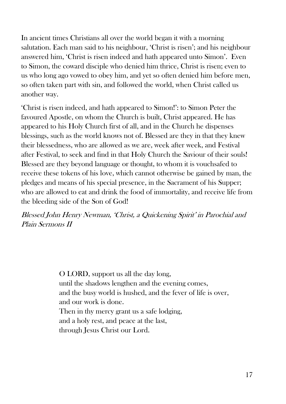In ancient times Christians all over the world began it with a morning salutation. Each man said to his neighbour, 'Christ is risen'; and his neighbour answered him, 'Christ is risen indeed and hath appeared unto Simon'. Even to Simon, the coward disciple who denied him thrice, Christ is risen; even to us who long ago vowed to obey him, and yet so often denied him before men, so often taken part with sin, and followed the world, when Christ called us another way.

'Christ is risen indeed, and hath appeared to Simon!': to Simon Peter the favoured Apostle, on whom the Church is built, Christ appeared. He has appeared to his Holy Church first of all, and in the Church he dispenses blessings, such as the world knows not of. Blessed are they in that they knew their blessedness, who are allowed as we are, week after week, and Festival after Festival, to seek and find in that Holy Church the Saviour of their souls! Blessed are they beyond language or thought, to whom it is vouchsafed to receive these tokens of his love, which cannot otherwise be gained by man, the pledges and means of his special presence, in the Sacrament of his Supper; who are allowed to eat and drink the food of immortality, and receive life from the bleeding side of the Son of God!

Blessed John Henry Newman, 'Christ, a Quickening Spirit' in Parochial and Plain Sermons II

> O LORD, support us all the day long, until the shadows lengthen and the evening comes, and the busy world is hushed, and the fever of life is over, and our work is done. Then in thy mercy grant us a safe lodging, and a holy rest, and peace at the last, through Jesus Christ our Lord.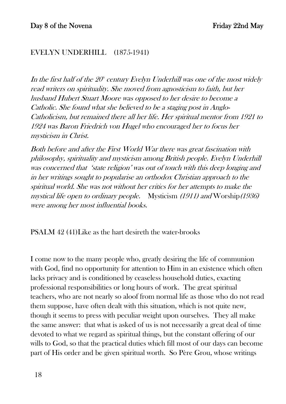#### EVELYN UNDERHILL (1875-1941)

In the first half of the  $20^{\circ}$  century Evelyn Underhill was one of the most widely read writers on spirituality. She moved from agnosticism to faith, but her husband Hubert Stuart Moore was opposed to her desire to become a Catholic. She found what she believed to be a staging post in Anglo-Catholicism, but remained there all her life. Her spiritual mentor from 1921 to 1924 was Baron Friedrich von Hugel who encouraged her to focus her mysticism in Christ.

Both before and after the First World War there was great fascination with philosophy, spirituality and mysticism among British people. Evelyn Underhill was concerned that 'state religion' was out of touch with this deep longing and in her writings sought to popularise an orthodox Christian approach to the spiritual world. She was not without her critics for her attempts to make the mystical life open to ordinary people. Mysticism (1911) and Worship(1936) were among her most influential books.

PSALM 42 (41)Like as the hart desireth the water-brooks

I come now to the many people who, greatly desiring the life of communion with God, find no opportunity for attention to Him in an existence which often lacks privacy and is conditioned by ceaseless household duties, exacting professional responsibilities or long hours of work. The great spiritual teachers, who are not nearly so aloof from normal life as those who do not read them suppose, have often dealt with this situation, which is not quite new, though it seems to press with peculiar weight upon ourselves. They all make the same answer: that what is asked of us is not necessarily a great deal of time devoted to what we regard as spiritual things, but the constant offering of our wills to God, so that the practical duties which fill most of our days can become part of His order and be given spiritual worth. So Père Grou, whose writings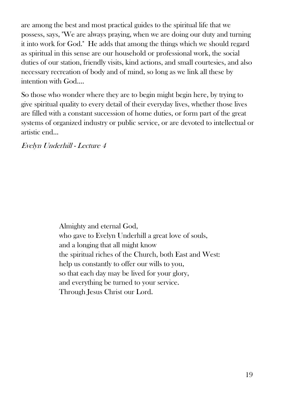are among the best and most practical guides to the spiritual life that we possess, says, "We are always praying, when we are doing our duty and turning it into work for God." He adds that among the things which we should regard as spiritual in this sense are our household or professional work, the social duties of our station, friendly visits, kind actions, and small courtesies, and also necessary recreation of body and of mind, so long as we link all these by intention with God….

So those who wonder where they are to begin might begin here, by trying to give spiritual quality to every detail of their everyday lives, whether those lives are filled with a constant succession of home duties, or form part of the great systems of organized industry or public service, or are devoted to intellectual or artistic end…

Evelyn Underhill - Lecture 4

Almighty and eternal God, who gave to Evelyn Underhill a great love of souls, and a longing that all might know the spiritual riches of the Church, both East and West: help us constantly to offer our wills to you, so that each day may be lived for your glory, and everything be turned to your service. Through Jesus Christ our Lord.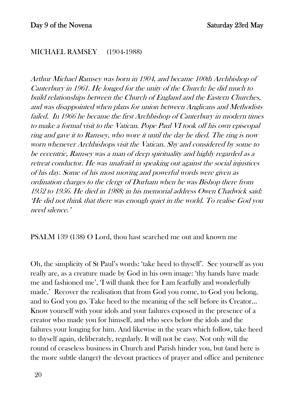#### MICHAEL RAMSEY (1904-1988)

Arthur Michael Ramsey was born in 1904, and became 100th Archbishop of Canterbury in 1961. He longed for the unity of the Church: he did much to build relationships between the Church of England and the Eastern Churches, and was disappointed when plans for union between Anglicans and Methodists failed. In 1966 he became the first Archbishop of Canterbury in modern times to make a formal visit to the Vatican. Pope Paul VI took off his own episcopal ring and gave it to Ramsey, who wore it until the day he died. The ring is now worn whenever Archbishops visit the Vatican. Shy and considered by some to be eccentric, Ramsey was a man of deep spirituality and highly regarded as a retreat conductor. He was unafraid in speaking out against the social injustices of his day. Some of his most moving and powerful words were given as ordination charges to the clergy of Durham when he was Bishop there from 1952 to 1956. He died in 1988; in his memorial address Owen Chadwick said: 'He did not think that there was enough quiet in the world. To realise God you need silence.'

PSALM 139 (138) O Lord, thou hast searched me out and known me

Oh, the simplicity of St Paul's words: 'take heed to thyself'. See yourself as you really are, as a creature made by God in his own image: 'thy hands have made me and fashioned me', 'I will thank thee for I am fearfully and wonderfully made.' Recover the realisation that from God you come, to God you belong, and to God you go. Take heed to the meaning of the self before its Creator… Know yourself with your idols and your failures exposed in the presence of a creator who made you for himself, and who sees below the idols and the failures your longing for him. And likewise in the years which follow, take heed to thyself again, deliberately, regularly. It will not be easy. Not only will the round of ceaseless business in Church and Parish hinder you, but (and here is the more subtle danger) the devout practices of prayer and office and penitence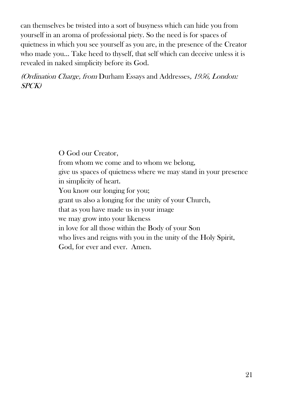can themselves be twisted into a sort of busyness which can hide you from yourself in an aroma of professional piety. So the need is for spaces of quietness in which you see yourself as you are, in the presence of the Creator who made you... Take heed to thyself, that self which can deceive unless it is revealed in naked simplicity before its God.

(Ordination Charge, from Durham Essays and Addresses, 1956, London: SPCK)

> O God our Creator, from whom we come and to whom we belong, give us spaces of quietness where we may stand in your presence in simplicity of heart. You know our longing for you; grant us also a longing for the unity of your Church, that as you have made us in your image we may grow into your likeness in love for all those within the Body of your Son who lives and reigns with you in the unity of the Holy Spirit, God, for ever and ever. Amen.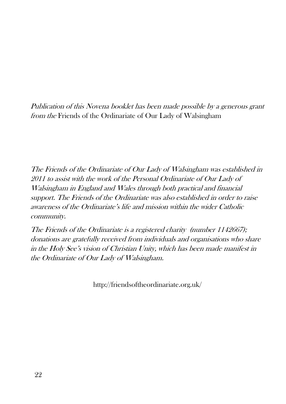Publication of this Novena booklet has been made possible by a generous grant from the Friends of the Ordinariate of Our Lady of Walsingham

The Friends of the Ordinariate of Our Lady of Walsingham was established in 2011 to assist with the work of the Personal Ordinariate of Our Lady of Walsingham in England and Wales through both practical and financial support. The Friends of the Ordinariate was also established in order to raise awareness of the Ordinariate's life and mission within the wider Catholic community.

The Friends of the Ordinariate is a registered charity (number 1142667); donations are gratefully received from individuals and organisations who share in the Holy See's vision of Christian Unity, which has been made manifest in the Ordinariate of Our Lady of Walsingham.

http://friendsoftheordinariate.org.uk/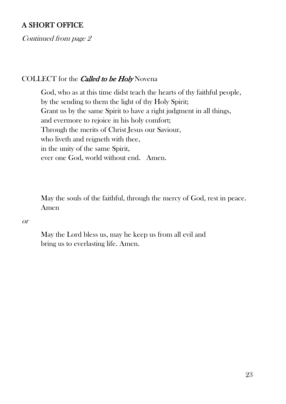#### A SHORT OFFICE

Continued from page 2

#### COLLECT for the *Called to be Holy* Novena

 God, who as at this time didst teach the hearts of thy faithful people, by the sending to them the light of thy Holy Spirit; Grant us by the same Spirit to have a right judgment in all things, and evermore to rejoice in his holy comfort; Through the merits of Christ Jesus our Saviour, who liveth and reigneth with thee, in the unity of the same Spirit, ever one God, world without end. Amen.

 May the souls of the faithful, through the mercy of God, rest in peace. Amen

or

 May the Lord bless us, may he keep us from all evil and bring us to everlasting life. Amen.